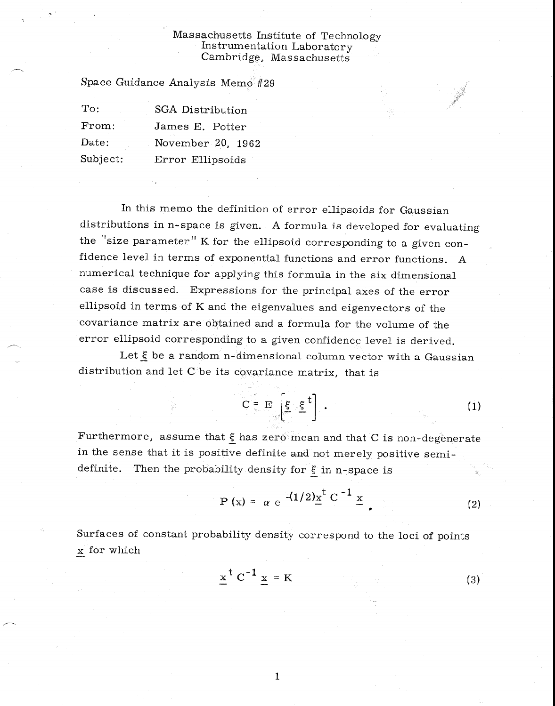## Massachusetts Institute of Technology Instrumentation Laboratory Cambridge, Massachusetts

Space Guidance Analysis Memo #29

| $\mathrm{To:}$ | SGA Distribution  |
|----------------|-------------------|
| From:          | James E. Potter   |
| Date:          | November 20, 1962 |
| Subject:       | Error Ellipsoids  |

In this memo the definition of error ellipsoids for Gaussian distributions in n-space is given. A formula is developed for evaluating the "size parameter" K for the ellipsoid corresponding to a given confidence level in terms of exponential functions and error functions. A numerical technique for applying this formula in the six dimensional case is discussed. Expressions for the principal axes of the error ellipsoid in terms of K and the eigenvalues and eigenvectors of the covariance matrix are obtained and a formula for the volume of the error ellipsoid corresponding to a given confidence level is derived.

Let  $\xi$  be a random n-dimensional column vector with a Gaussian distribution and let  $C$  be its covariance matrix, that is

$$
C = E\left[\xi \cdot \xi^t\right].
$$
 (1)

Furthermore, assume that  $\xi$  has zero mean and that C is non-degenerate in the sense that it is positive definite and not merely positive semidefinite. Then the probability density for  $\xi$  in n-space is

$$
P(x) = \alpha e^{- (1/2)x^t} C^{-1} \underline{x}
$$
 (2)

Surfaces of constant probability density correspond to the loci of points x for which

1

$$
\underline{x}^t C^{-1} \underline{x} = K \tag{3}
$$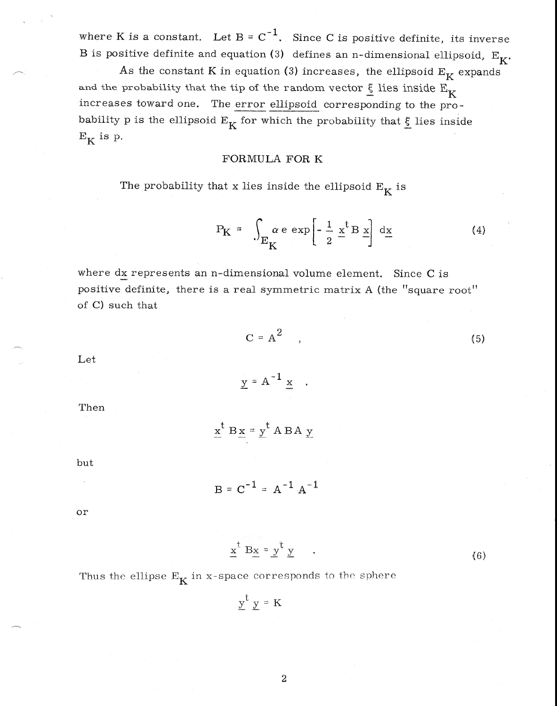where K is a constant. Let  $B = C^{-1}$ . Since C is positive definite, its inverse B is positive definite and equation (3) defines an n-dimensional ellipsoid,  $E_K$ .

As the constant K in equation (3) increases, the ellipsoid  $E_K$  expands and the probability that the tip of the random vector  $\xi$  lies inside  $E_K$ increases toward one. The error ellipsoid corresponding to the probability p is the ellipsoid  $E_K$  for which the probability that  $\xi$  lies inside  $E_K$  is p.

#### FORMULA FOR K

The probability that x lies inside the ellipsoid  $E_K$  is

$$
P_{K} = \int_{E_{K}} \alpha e \exp\left[-\frac{1}{2} \times \frac{1}{2} B \times \right] dx
$$
 (4)

where  $dx$  represents an n-dimensional volume element. Since C is positive definite, there is a real symmetric matrix A (the "square root" of C) such that

$$
C = A^2
$$

(5)

Let

Then

$$
\underline{x}^t B \underline{x} = \underline{y}^t A B A \underline{y}
$$

 $y = A^{-1} x$ .

but

$$
B = C^{-1} = A^{-1} A^{-1}
$$

or

$$
\underline{x}^t B\underline{x} = \underline{y}^t \underline{y} \qquad . \tag{6}
$$

Thus the ellipse  $E_K$  in x-space corresponds to the sphere

 $y^t$  y = K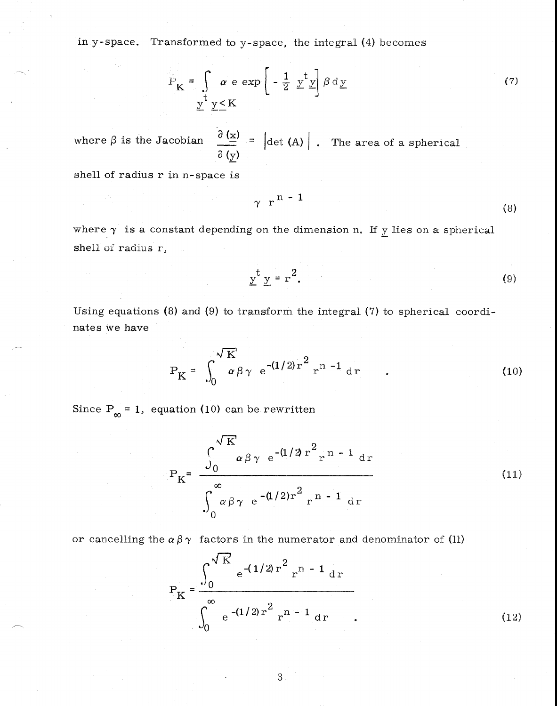in y-space. Transformed to y-space, the integral (4) becomes

$$
P_{\mathbf{K}} = \int \alpha \, \mathbf{e} \, \exp\left(-\frac{1}{2} \, \underline{y}^{\dagger} \underline{y}\right) \beta \, \mathrm{d} \underline{y} \tag{7}
$$

where  $\beta$  is the Jacobian  $\frac{\partial (x)}{\partial n} = |\det(A)|$ . The area of a spherical *a* (y)

shell of radius r in n-space is

$$
\gamma \ \ r^{n-1} \tag{8}
$$

where  $\gamma$  is a constant depending on the dimension n. If  $\gamma$  lies on a spherical shell of radius r,

$$
\underline{y}^t \underline{y} = r^2. \tag{9}
$$

Using equations (8) and (9) to transform the integral (7) to spherical coordinates we have

$$
P_{K} = \int_{0}^{\sqrt{K}} \alpha \beta \gamma e^{-(1/2)r^{2}} r^{n-1} dr
$$
 (10)

Since  $P_{\infty} = 1$ , equation (10) can be rewritten

$$
P_{K} = \frac{\int_{0}^{\sqrt{K}} \alpha \beta \gamma e^{-(1/2) r^{2}} r^{n-1} dr}{\int_{0}^{\infty} \alpha \beta \gamma e^{-(1/2) r^{2}} r^{n-1} dr}
$$
(11)

or cancelling the  $\alpha \beta \gamma$  factors in the numerator and denominator of (11)

$$
P_{K} = \frac{\int_{0}^{\sqrt{K}} e^{-(1/2) r^{2}} r^{n-1} dr}{\int_{0}^{\infty} e^{-(1/2) r^{2}} r^{n-1} dr}
$$
 (12)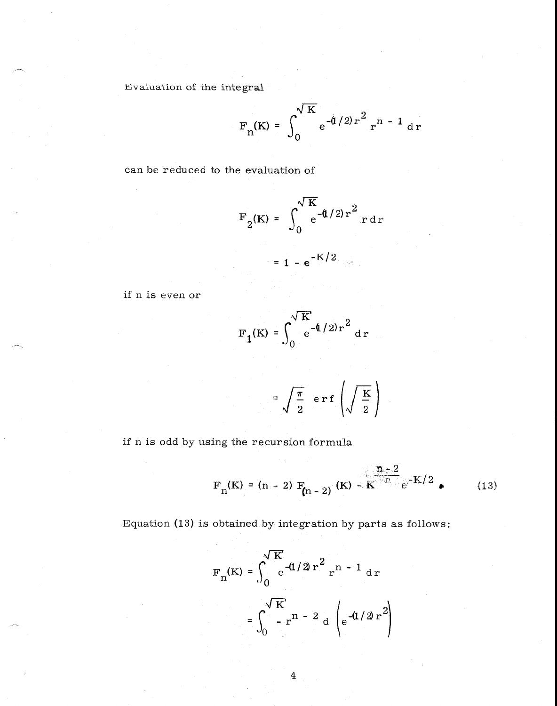Evaluation of the integral

$$
F_n(K) = \int_0^{\sqrt{K}} e^{-(1/2)r^2} r^{n-1} dr
$$

can be reduced to the evaluation of

$$
F_2(K) = \int_0^{\sqrt{K}} e^{-\frac{d}{2}r^2} r dr
$$
  
= 1 - e<sup>-K/2</sup>

if n is even or

$$
F_1(K) = \int_0^{\sqrt{K}} e^{-\frac{4}{2}r^2} dr
$$

$$
=\sqrt{\frac{\pi}{2}} \text{ erf } \left(\sqrt{\frac{K}{2}}\right)
$$

if n is odd by using the recursion formula

$$
F_n(K) = (n - 2) F_{n-2}(K) - K^{n-2} e^{-K/2}
$$
 (13)

Equation (13) is obtained by integration by parts as follows:

$$
F_n(K) = \int_0^{\sqrt{K}} e^{-(1/2) r^2} r^{n-1} dr
$$

$$
= \int_0^{\sqrt{K}} r^{n-2} d \left( e^{-(1/2) r^2} \right)
$$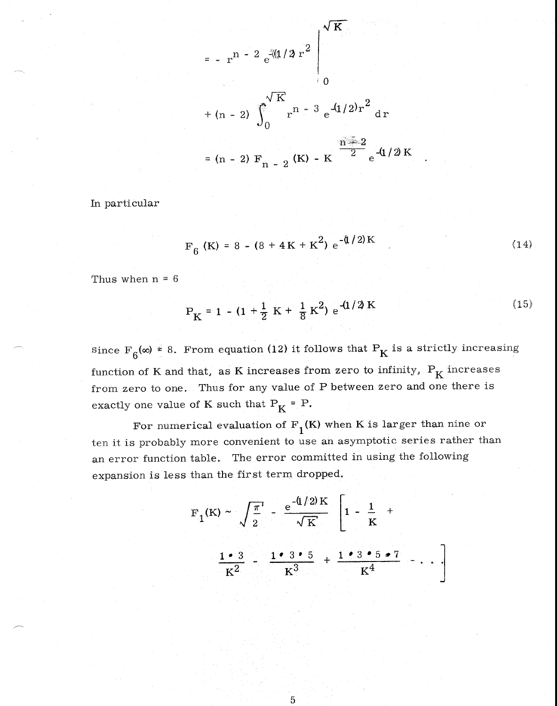$$
= -r^{n-2} e^{-(1/2) r^{2}}\Bigg|_{0}
$$
  
+ (n - 2)  $\int_{0}^{\sqrt{K}} r^{n-3} e^{-(1/2) r^{2}} dr$   
= (n - 2)  $F_{n-2}$  (K) - K  $\frac{n-2}{2}$  e^{-(1/2) K

In particular

$$
F_6 (K) = 8 - (8 + 4K + K^2) e^{-(1/2)K}
$$
 (14)

Thus when  $n = 6$ 

$$
P_{K} = 1 - (1 + \frac{1}{2} K + \frac{1}{8} K^{2}) e^{-(1/2) K}
$$
 (15)

since  $F_6(\infty) \ge 8$ . From equation (12) it follows that  $P_K$  is a strictly increasing function of K and that, as K increases from zero to infinity,  $P_K$  increases from zero to one. Thus for any value of P between zero and one there is exactly one value of K such that  $P_K = P$ .

For numerical evaluation of  $F_1(K)$  when K is larger than nine or ten it is probably more convenient to use an asymptotic series rather than an error function table. The error committed in using the following expansion is less than the first term dropped,

$$
F_1(K) \sim \sqrt{\frac{\pi}{2}} - \frac{e^{-(1/2)K}}{\sqrt{K}} \left[ 1 - \frac{1}{K} + \frac{1 \cdot 3}{K^2} - \frac{1 \cdot 3 \cdot 5}{K^3} + \frac{1 \cdot 3 \cdot 5 \cdot 7}{K^4} - \cdots \right]
$$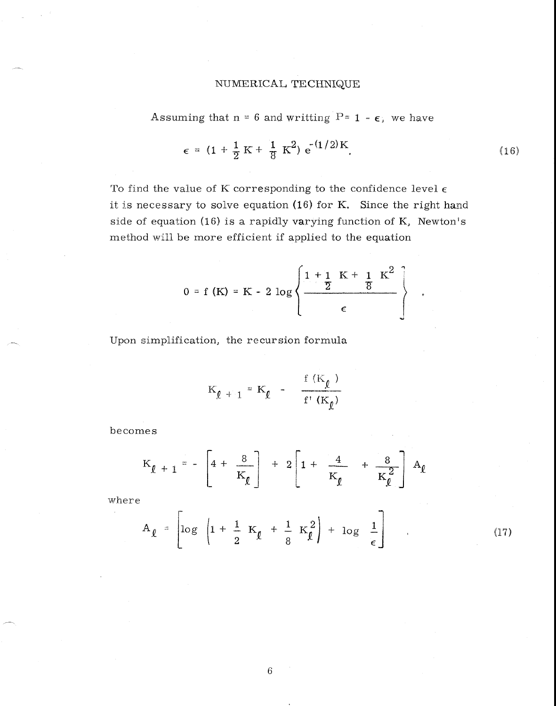# NUMERICAL TECHNIQUE

Assuming that 
$$
n = 6
$$
 and writing  $P = 1 - \epsilon$ , we have

$$
\epsilon = (1 + \frac{1}{2} K + \frac{1}{8} K^2) e^{-(1/2)K}.
$$
 (16)

To find the value of K corresponding to the confidence level  $\epsilon$ it is necessary to solve equation (16) for K. Since the right hand side of equation (16) is a rapidly varying function of K, Newton's method will be more efficient if applied to the equation

$$
0 = f(K) = K - 2 \log \left\{ \frac{1 + 1}{2} \frac{K + 1}{8} \frac{K^2}{4} \right\}
$$

Upon simplification, the recursion formula

$$
K_{\ell+1} = K_{\ell} - \frac{f(K_{\ell})}{f'(K_{\ell})}
$$

becomes

$$
K_{\ell+1} = -\left[4 + \frac{8}{K_{\ell}}\right] + 2\left[1 + \frac{4}{K_{\ell}} + \frac{8}{K_{\ell}^2}\right] A_{\ell}
$$

where

$$
A_{\ell} = \left[ \log \left| 1 + \frac{1}{2} K_{\ell} + \frac{1}{8} K_{\ell}^{2} \right| + \log \left| \frac{1}{\epsilon} \right| \right] \qquad (17)
$$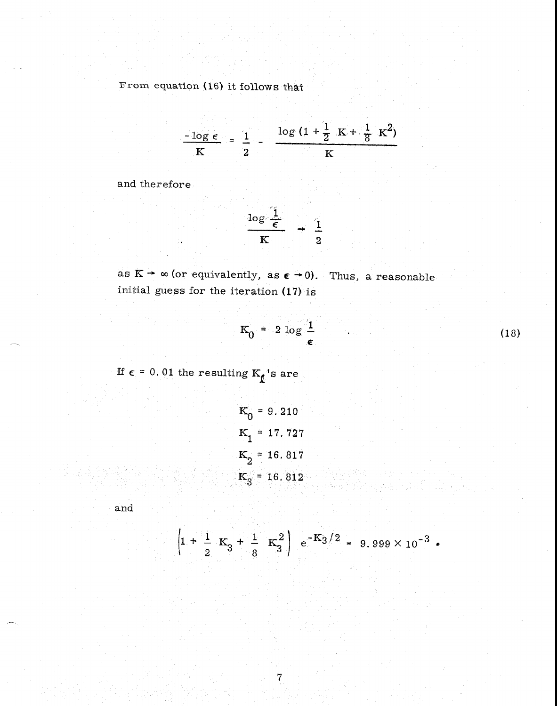From equation (16) it follows that

$$
\frac{-\log \epsilon}{K} = \frac{1}{2} - \frac{\log (1 + \frac{1}{2} K + \frac{1}{8} K^{2})}{K}
$$

and therefore

$$
\frac{\log \frac{1}{\epsilon}}{K} \rightarrow \frac{1}{2}
$$

as  $K \rightarrow \infty$  (or equivalently, as  $\varepsilon \rightarrow 0$ ). Thus, a reasonable initial guess for the iteration (17) is

$$
K_0 = 2 \log \frac{1}{\epsilon} \tag{18}
$$

If  $\epsilon$  = 0.01 the resulting  $\mathrm{K}_\ell$  's are

$$
K_0 = 9.210
$$
  
\n
$$
K_1 = 17.727
$$
  
\n
$$
K_2 = 16.817
$$
  
\n
$$
K_3 = 16.812
$$

and

$$
\left(1+\frac{1}{2}K_3+\frac{1}{8}K_3^2\right) e^{-K_3/2} = 9.999 \times 10^{-3}
$$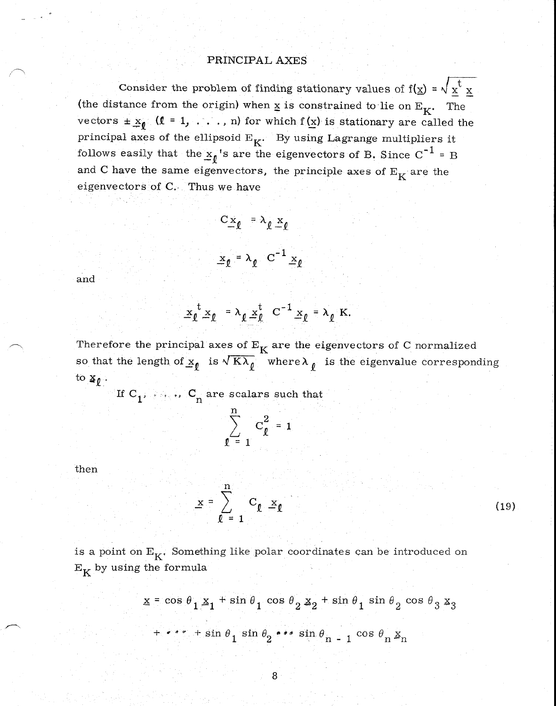### PRINCIPAL AXES

Consider the problem of finding stationary values of  $f(x) = \sqrt{x^t} x$ (the distance from the origin) when  $\underline{x}$  is constrained to lie on  $E_K$ . The vectors  $\pm x_{\ell}$  ( $\ell = 1, \ldots, n$ ) for which  $f(x)$  is stationary are called the principal axes of the ellipsoid  $E_K$ . By using Lagrange multipliers it follows easily that the  $\underline{x}_{\ell}$ 's are the eigenvectors of B. Since C<sup>-1</sup> = B and C have the same eigenvectors, the principle axes of  $E_K$  are the eigenvectors of C. Thus we have

and

$$
\underline{\mathbf{x}}_{\ell}^{\mathbf{t}} \underline{\mathbf{x}}_{\ell} = \lambda_{\ell} \underline{\mathbf{x}}_{\ell}^{\mathbf{t}} \ \mathbf{C}^{-1} \underline{\mathbf{x}}_{\ell} = \lambda_{\ell} \ \mathbf{K}.
$$

 $C_{\underline{x}_\ell} = \lambda_\ell \underline{x}_\ell$ 

 $\underline{x}_{\ell} = \lambda_{\ell} C^{-1} \underline{x}_{\ell}$ 

Therefore the principal axes of  $E_K$  are the eigenvectors of C normalized so that the length of  $x_{\ell}$  is  $\sqrt{K\lambda_{\ell}}$  where  $\lambda_{\ell}$  is the eigenvalue corresponding to  $\underline{\mathbf{x}}_{\ell}$ .

If C<sub>1</sub>, ..., C<sub>n</sub> are scalars such that\n
$$
\sum_{\ell=1}^{n} C_{\ell}^{2} = 1
$$

then

$$
\underline{\mathbf{x}} = \sum_{\ell = 1}^{n} \mathbf{C}_{\ell} \underline{\mathbf{x}}_{\ell}
$$

(19)

is a point on  $E_K$ . Something like polar coordinates can be introduced on  $\mathbf{E}_\mathbf{K}$  by using the formula

$$
\underline{x} = \cos \theta_1 \underline{x}_1 + \sin \theta_1 \cos \theta_2 \underline{x}_2 + \sin \theta_1 \sin \theta_2 \cos \theta_3 \underline{x}_3
$$
  
+ 
$$
\cdots + \sin \theta_1 \sin \theta_2 \cdots \sin \theta_{n-1} \cos \theta_n \underline{x}_n
$$